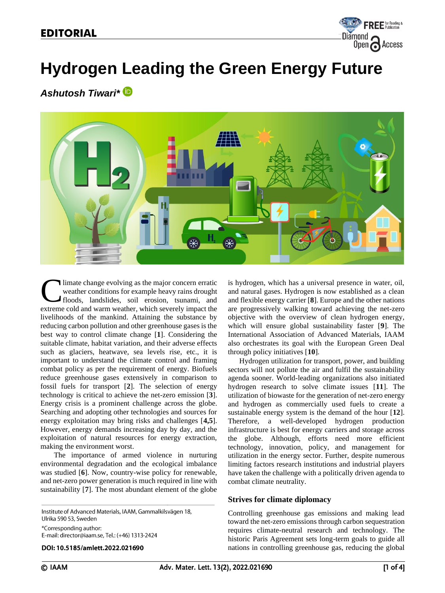

# **Hydrogen Leading the Green Energy Future**

*Ashutosh Tiwari\**



limate change evolving as the major concern erratic weather conditions for example heavy rains drought floods, landslides, soil erosion, tsunami, and Ulimate change evolving as the major concern erratic weather conditions for example heavy rains drought floods, landslides, soil erosion, tsunami, and extreme cold and warm weather, which severely impact the livelihoods of the mankind. Attaining the substance by reducing carbon pollution and other greenhouse gases is the best way to control climate change [**1**]. Considering the suitable climate, habitat variation, and their adverse effects such as glaciers, heatwave, sea levels rise, etc., it is important to understand the climate control and framing combat policy as per the requirement of energy. Biofuels reduce greenhouse gases extensively in comparison to fossil fuels for transport [**2**]. The selection of energy technology is critical to achieve the net-zero emission [**3**]. Energy crisis is a prominent challenge across the globe. Searching and adopting other technologies and sources for energy exploitation may bring risks and challenges [**4,5**]. However, energy demands increasing day by day, and the exploitation of natural resources for energy extraction, making the environment worst.

The importance of armed violence in nurturing environmental degradation and the ecological imbalance was studied [**6**]. Now, country-wise policy for renewable, and net-zero power generation is much required in line with sustainability [**7**]. The most abundant element of the globe

Institute of Advanced Materials, IAAM, Gammalkilsvägen 18, Ulrika 590 53, Sweden \*Corresponding author:

E-mail: director@iaam.se, Tel.: (+46) 1313-2424

DOI: 10.5185/amlett.2022.021690

is hydrogen, which has a universal presence in water, oil, and natural gases. Hydrogen is now established as a clean and flexible energy carrier [**8**]. Europe and the other nations are progressively walking toward achieving the net-zero objective with the overview of clean hydrogen energy, which will ensure global sustainability faster [**9**]. The International Association of Advanced Materials, IAAM also orchestrates its goal with the European Green Deal through policy initiatives [**10**].

 Hydrogen utilization for transport, power, and building sectors will not pollute the air and fulfil the sustainability agenda sooner. World-leading organizations also initiated hydrogen research to solve climate issues [**11**]. The utilization of biowaste for the generation of net-zero energy and hydrogen as commercially used fuels to create a sustainable energy system is the demand of the hour [**12**]. Therefore, a well-developed hydrogen production infrastructure is best for energy carriers and storage across the globe. Although, efforts need more efficient technology, innovation, policy, and management for utilization in the energy sector. Further, despite numerous limiting factors research institutions and industrial players have taken the challenge with a politically driven agenda to combat climate neutrality.

## **Strives for climate diplomacy**

Controlling greenhouse gas emissions and making lead toward the net-zero emissions through carbon sequestration requires climate-neutral research and technology. The historic Paris Agreement sets long-term goals to guide all nations in controlling greenhouse gas, reducing the global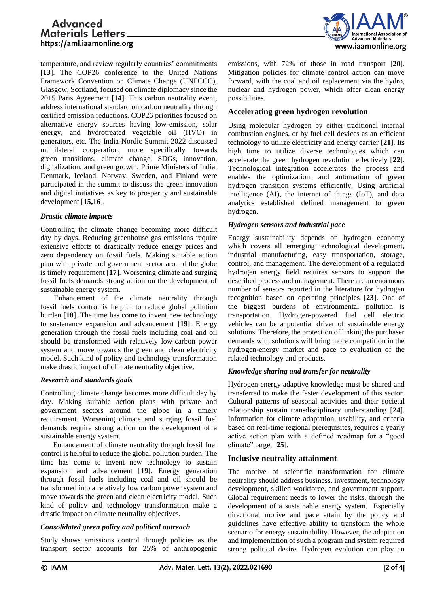# Advanced **Materials Letters** https://aml.iaamonline.org



temperature, and review regularly countries' commitments [13]. The COP26 conference to the United Nations Framework Convention on Climate Change (UNFCCC), Glasgow, Scotland, focused on climate diplomacy since the 2015 Paris Agreement [**14**]. This carbon neutrality event, address international standard on carbon neutrality through certified emission reductions. COP26 priorities focused on alternative energy sources having low-emission, solar energy, and hydrotreated vegetable oil (HVO) in generators, etc. The India-Nordic Summit 2022 discussed multilateral cooperation, more specifically towards green transitions, climate change, SDGs, innovation, digitalization, and green growth. Prime Ministers of India, Denmark, Iceland, Norway, Sweden, and Finland were participated in the summit to discuss the green innovation and digital initiatives as key to prosperity and sustainable development [**15,16**].

#### *Drastic climate impacts*

Controlling the climate change becoming more difficult day by days. Reducing greenhouse gas emissions require extensive efforts to drastically reduce energy prices and zero dependency on fossil fuels. Making suitable action plan with private and government sector around the globe is timely requirement [**17**]. Worsening climate and surging fossil fuels demands strong action on the development of sustainable energy system.

Enhancement of the climate neutrality through fossil fuels control is helpful to reduce global pollution burden [**18**]. The time has come to invent new technology to sustenance expansion and advancement [**19]**. Energy generation through the fossil fuels including coal and oil should be transformed with relatively low-carbon power system and move towards the green and clean electricity model. Such kind of policy and technology transformation make drastic impact of climate neutrality objective.

#### *Research and standards goals*

Controlling climate change becomes more difficult day by day. Making suitable action plans with private and government sectors around the globe in a timely requirement. Worsening climate and surging fossil fuel demands require strong action on the development of a sustainable energy system.

 Enhancement of climate neutrality through fossil fuel control is helpful to reduce the global pollution burden. The time has come to invent new technology to sustain expansion and advancement [**19]**. Energy generation through fossil fuels including coal and oil should be transformed into a relatively low carbon power system and move towards the green and clean electricity model. Such kind of policy and technology transformation make a drastic impact on climate neutrality objectives.

## *Consolidated green policy and political outreach*

Study shows emissions control through policies as the transport sector accounts for 25% of anthropogenic

emissions, with 72% of those in road transport [**20**]. Mitigation policies for climate control action can move forward, with the coal and oil replacement via the hydro, nuclear and hydrogen power, which offer clean energy possibilities.

## **Accelerating green hydrogen revolution**

Using molecular hydrogen by either traditional internal combustion engines, or by fuel cell devices as an efficient technology to utilize electricity and energy carrier [**21**]. Its high time to utilize diverse technologies which can accelerate the green hydrogen revolution effectively [**22**]. Technological integration accelerates the process and enables the optimization, and automation of green hydrogen transition systems efficiently. Using artificial intelligence (AI), the internet of things (IoT), and data analytics established defined management to green hydrogen.

## *Hydrogen sensors and industrial pace*

Energy sustainability depends on hydrogen economy which covers all emerging technological development, industrial manufacturing, easy transportation, storage, control, and management. The development of a regulated hydrogen energy field requires sensors to support the described process and management. There are an enormous number of sensors reported in the literature for hydrogen recognition based on operating principles [**23**]. One of the biggest burdens of environmental pollution is transportation. Hydrogen-powered fuel cell electric vehicles can be a potential driver of sustainable energy solutions. Therefore, the protection of linking the purchaser demands with solutions will bring more competition in the hydrogen-energy market and pace to evaluation of the related technology and products.

## *Knowledge sharing and transfer for neutrality*

Hydrogen-energy adaptive knowledge must be shared and transferred to make the faster development of this sector. Cultural patterns of seasonal activities and their societal relationship sustain transdisciplinary understanding [**24**]. Information for climate adaptation, usability, and criteria based on real-time regional prerequisites, requires a yearly active action plan with a defined roadmap for a "good climate" target [**25**].

## **Inclusive neutrality attainment**

The motive of scientific transformation for climate neutrality should address business, investment, technology development, skilled workforce, and government support. Global requirement needs to lower the risks, through the development of a sustainable energy system. Especially directional motive and pace attain by the policy and guidelines have effective ability to transform the whole scenario for energy sustainability. However, the adaptation and implementation of such a program and system required strong political desire. Hydrogen evolution can play an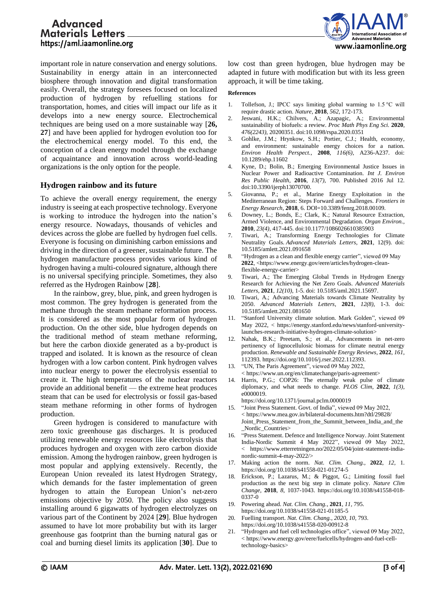# **Advanced Materials Letters** https://aml.iaamonline.org



important role in nature conservation and energy solutions. Sustainability in energy attain in an interconnected biosphere through innovation and digital transformation easily. Overall, the strategy foresees focused on localized production of hydrogen by refuelling stations for transportation, homes, and cities will impact our life as it develops into a new energy source. Electrochemical techniques are being used on a more sustainable way [**26, 27**] and have been applied for hydrogen evolution too for the electrochemical energy model. To this end, the conception of a clean energy model through the exchange of acquaintance and innovation across world-leading organizations is the only option for the people.

## **Hydrogen rainbow and its future**

To achieve the overall energy requirement, the energy industry is seeing at each prospective technology. Everyone is working to introduce the hydrogen into the nation's energy resource. Nowadays, thousands of vehicles and devices across the globe are fuelled by hydrogen fuel cells. Everyone is focusing on diminishing carbon emissions and driving in the direction of a greener, sustainable future. The hydrogen manufacture process provides various kind of hydrogen having a multi-coloured signature, although there is no universal specifying principle. Sometimes, they also referred as the Hydrogen Rainbow [**28**].

In the rainbow, grey, blue, pink, and green hydrogen is most common. The grey hydrogen is generated from the methane through the steam methane reformation process. It is considered as the most popular form of hydrogen production. On the other side, blue hydrogen depends on the traditional method of steam methane reforming, but here the carbon dioxide generated as a by-product is trapped and isolated. It is known as the resource of clean hydrogen with a low carbon content. Pink hydrogen valves into nuclear energy to power the electrolysis essential to create it. The high temperatures of the nuclear reactors provide an additional benefit — the extreme heat produces steam that can be used for electrolysis or fossil gas-based steam methane reforming in other forms of hydrogen production.

Green hydrogen is considered to manufacture with zero toxic greenhouse gas discharges. It is produced utilizing renewable energy resources like electrolysis that produces hydrogen and oxygen with zero carbon dioxide emission. Among the hydrogen rainbow, green hydrogen is most popular and applying extensively. Recently, the European Union revealed its latest Hydrogen Strategy, which demands for the faster implementation of green hydrogen to attain the European Union's net-zero emissions objective by 2050. The policy also suggests installing around 6 gigawatts of hydrogen electrolyzes on various part of the Continent by 2024 [**29**]. Blue hydrogen assumed to have lot more probability but with its larger greenhouse gas footprint than the burning natural gas or coal and burning diesel limits its application [**30**]. Due to low cost than green hydrogen, blue hydrogen may be adapted in future with modification but with its less green approach, it will be time taking.

#### **References**

- 1. Tollefson, J.; IPCC says limiting global warming to 1.5 °C will require drastic action. *Nature,* **2018**, *562,* 172-173.
- 2. Jeswani, H.K.; Chilvers, A.; Azapagic, A.; Environmental sustainability of biofuels: a review. *Proc Math Phys Eng Sci.* **2020**, *476(2243),* 20200351. doi:10.1098/rspa.2020.0351
- 3. Gohlke, J.M.; Hrynkow, S.H.; Portier, C.J.; Health, economy, and environment: sustainable energy choices for a nation. *Environ Health Perspect.,* **2008**, *116(6),* A236-A237. doi: 10.1289/ehp.11602
- 4. Kyne, D.; Bolin, B.; Emerging Environmental Justice Issues in Nuclear Power and Radioactive Contamination. *Int J. Environ Res Public Health,* **2016**, *13(7),* 700. Published 2016 Jul 12. doi:10.3390/ijerph13070700.
- 5. Giovanna, P.; et al., Marine Energy Exploitation in the Mediterranean Region: Steps Forward and Challenges. *Frontiers in Energy Research*, **2018**, 6. DOI=10.3389/fenrg.2018.00109.
- 6. Downey, L.; Bonds, E.; Clark, K.; Natural Resource Extraction, Armed Violence, and Environmental Degradation. *Organ Environ.,* **2010**, *23(4),* 417-445. doi:10.1177/1086026610385903
- 7. Tiwari, A.; Transforming Energy Technologies for Climate Neutrality Goals. *Advanced Materials Letters,* **2021**, 12(9). doi: 10.5185/amlett.2021.091658
- 8. "Hydrogen as a clean and flexible energy carrier", viewed 09 May **2022**, <https://www.energy.gov/eere/articles/hydrogen-cleanflexible-energy-carrier>
- 9. Tiwari, A.; The Emerging Global Trends in Hydrogen Energy Research for Achieving the Net Zero Goals. *Advanced Materials Letters*, **2021**, *12(10),* 1-5. doi: 10.5185/aml.2021.15697.
- 10. Tiwari, A.; Advancing Materials towards Climate Neutrality by 2050. *Advanced Materials Letters,* **2021**, *12(8),* 1-3. doi: 10.5185/amlett.2021.081650
- 11. "Stanford University climate solution. Mark Golden", viewed 09 May 2022, < https://energy.stanford.edu/news/stanford-universitylaunches-research-initiative-hydrogen-climate-solution>
- 12. Nahak, B.K.; Preetam, S.; et al., Advancements in net-zero pertinency of lignocellulosic biomass for climate neutral energy production. *Renewable and Sustainable Energy Reviews,* **2022**, *161,* 112393[. https://doi.org/10.1016/j.rser.2022.112393.](https://doi.org/10.1016/j.rser.2022.112393)
- 13. "UN, The Paris Agreement", viewed 09 May 2022, < [https://www.un.org/en/climatechange/paris-agreement>](https://www.un.org/en/climatechange/paris-agreement)
- 14. Harris, P.G.; COP26: The eternally weak pulse of climate diplomacy, and what needs to change. *PLOS Clim,* **2022**, *1(3),* e0000019.

https://doi.org/10.1371/journal.pclm.0000019

- 15. "Joint Press Statement. Govt. of India", viewed 09 May 2022, < <https://www.mea.gov.in/bilateral-documents.htm?dtl/29828/> Joint\_Press\_Statement\_from\_the\_Summit\_between\_India\_and\_the \_Nordic\_Countries>
- 16. "Press Statement. Defence and Intelligence Norway. Joint Statement India-Nordic Summit 4 May 2022", viewed 09 May 2022, < [https://www.etterretningen.no/2022/05/04/joint-statement-india](https://www.etterretningen.no/2022/05/04/joint-statement-india-nordic-summit-4-may-2022/)[nordic-summit-4-may-2022/>](https://www.etterretningen.no/2022/05/04/joint-statement-india-nordic-summit-4-may-2022/)
- 17. Making action the norm. *Nat. Clim. Chang.,* **2022**, *12,* 1. https://doi.org/10.1038/s41558-021-01274-5
- Erickson, P.; Lazarus, M.; & Piggot, G.; Limiting fossil fuel production as the next big step in climate policy. *Nature Clim Change,* **2018**, *8,* 1037-1043. https://doi.org/10.1038/s41558-018- 0337-0
- 19. Powering ahead. *Nat. Clim. Chang.,* **2021**, *11,* 795. https://doi.org/10.1038/s41558-021-01185-5
- 20. Fuelling transport. *Nat. Clim. Chang., 2020, 10,* 793. https://doi.org/10.1038/s41558-020-00912-8
- 21. "Hydrogen and fuel cell technologies office", viewed 09 May 2022, < https://www.energy.gov/eere/fuelcells/hydrogen-and-fuel-celltechnology-basics>